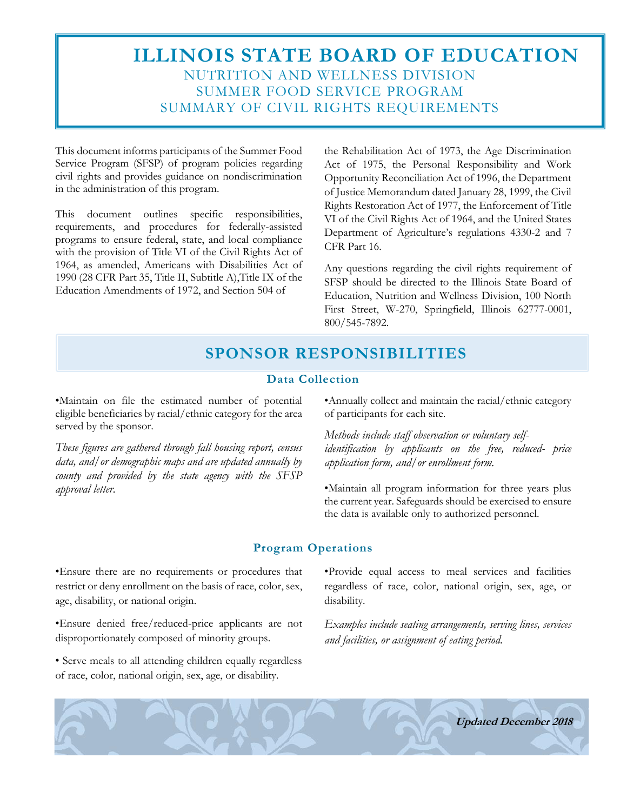# **ILLINOIS STATE BOARD OF EDUCATION** NUTRITION AND WELLNESS DIVISION SUMMER FOOD SERVICE PROGRAM SUMMARY OF CIVIL RIGHTS REQUIREMENTS

This document informs participants of the Summer Food Service Program (SFSP) of program policies regarding civil rights and provides guidance on nondiscrimination in the administration of this program.

This document outlines specific responsibilities, requirements, and procedures for federally-assisted programs to ensure federal, state, and local compliance with the provision of Title VI of the Civil Rights Act of 1964, as amended, Americans with Disabilities Act of 1990 (28 CFR Part 35, Title II, Subtitle A),Title IX of the Education Amendments of 1972, and Section 504 of

the Rehabilitation Act of 1973, the Age Discrimination Act of 1975, the Personal Responsibility and Work Opportunity Reconciliation Act of 1996, the Department of Justice Memorandum dated January 28, 1999, the Civil Rights Restoration Act of 1977, the Enforcement of Title VI of the Civil Rights Act of 1964, and the United States Department of Agriculture's regulations 4330-2 and 7 CFR Part 16.

Any questions regarding the civil rights requirement of SFSP should be directed to the Illinois State Board of Education, Nutrition and Wellness Division, 100 North First Street, W-270, Springfield, Illinois 62777-0001, 800/545-7892.

# **SPONSOR RESPONSIBILITIES**

#### **Data Collection**

•Maintain on file the estimated number of potential eligible beneficiaries by racial/ethnic category for the area served by the sponsor.

*These figures are gathered through fall housing report, census data, and/or demographic maps and are updated annually by county and provided by the state agency with the SFSP approval letter.*

•Annually collect and maintain the racial/ethnic category of participants for each site.

*Methods include staff observation or voluntary selfidentification by applicants on the free, reduced- price application form, and/or enrollment form.*

•Maintain all program information for three years plus the current year. Safeguards should be exercised to ensure the data is available only to authorized personnel.

#### **Program Operations**

•Ensure there are no requirements or procedures that restrict or deny enrollment on the basis of race, color, sex, age, disability, or national origin.

•Ensure denied free/reduced-price applicants are not disproportionately composed of minority groups.

• Serve meals to all attending children equally regardless of race, color, national origin, sex, age, or disability.

•Provide equal access to meal services and facilities regardless of race, color, national origin, sex, age, or disability.

*Examples include seating arrangements, serving lines, services and facilities, or assignment of eating period.*